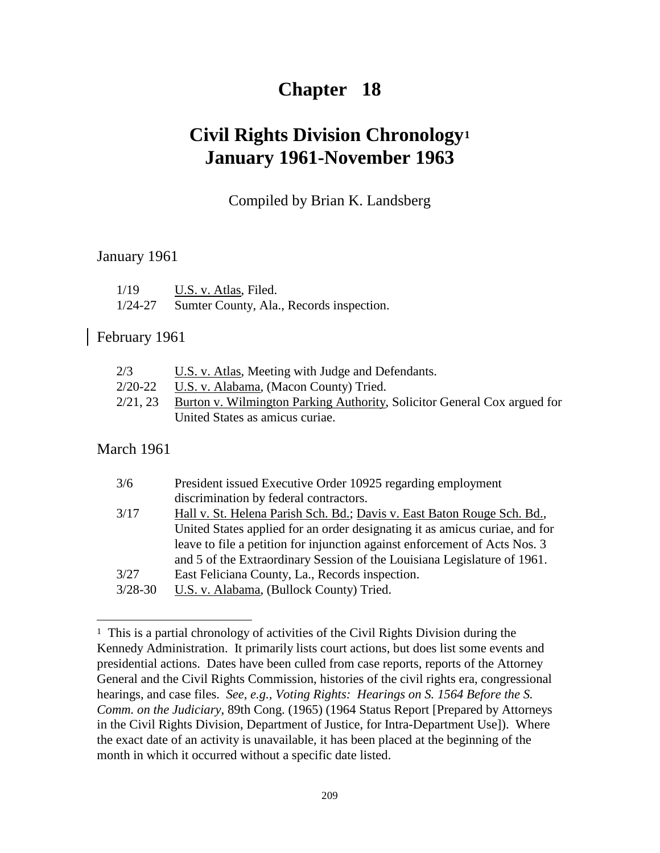# **Chapter 18**

# **Civil Rights Division Chronology[1](#page-0-0) January 1961-November 1963**

## Compiled by Brian K. Landsberg

## January 1961

| 1/19    | U.S. v. Atlas, Filed. |               |  |  |  |  |
|---------|-----------------------|---------------|--|--|--|--|
| 1/21.27 |                       | $\sim$ $\sim$ |  |  |  |  |

1/24-27 Sumter County, Ala., Records inspection.

## February 1961

| 2/3         | U.S. v. Atlas, Meeting with Judge and Defendants.                        |
|-------------|--------------------------------------------------------------------------|
| $2/20 - 22$ | U.S. v. Alabama, (Macon County) Tried.                                   |
| 2/21, 23    | Burton v. Wilmington Parking Authority, Solicitor General Cox argued for |
|             | United States as amicus curiae.                                          |

## March 1961

 $\overline{a}$ 

| 3/6         | President issued Executive Order 10925 regarding employment                 |
|-------------|-----------------------------------------------------------------------------|
|             | discrimination by federal contractors.                                      |
| 3/17        | Hall v. St. Helena Parish Sch. Bd.; Davis v. East Baton Rouge Sch. Bd.,     |
|             | United States applied for an order designating it as amicus curiae, and for |
|             | leave to file a petition for injunction against enforcement of Acts Nos. 3  |
|             | and 5 of the Extraordinary Session of the Louisiana Legislature of 1961.    |
| 3/27        | East Feliciana County, La., Records inspection.                             |
| $3/28 - 30$ | U.S. v. Alabama, (Bullock County) Tried.                                    |

<span id="page-0-0"></span><sup>1</sup> This is a partial chronology of activities of the Civil Rights Division during the Kennedy Administration. It primarily lists court actions, but does list some events and presidential actions. Dates have been culled from case reports, reports of the Attorney General and the Civil Rights Commission, histories of the civil rights era, congressional hearings, and case files. *See, e.g., Voting Rights: Hearings on S. 1564 Before the S. Comm. on the Judiciary*, 89th Cong. (1965) (1964 Status Report [Prepared by Attorneys in the Civil Rights Division, Department of Justice, for Intra-Department Use]). Where the exact date of an activity is unavailable, it has been placed at the beginning of the month in which it occurred without a specific date listed.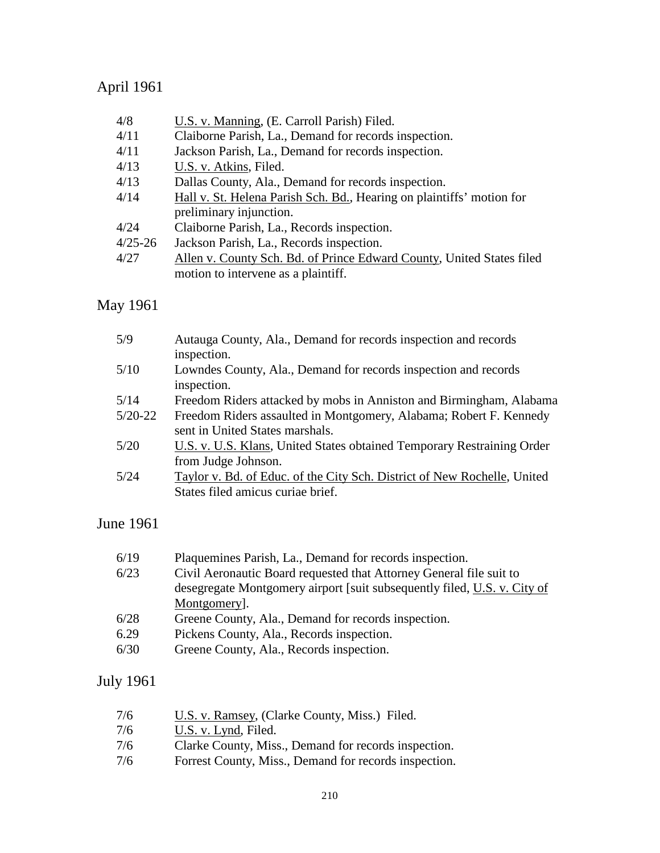# April 1961

| 4/8         | U.S. v. Manning, (E. Carroll Parish) Filed.                           |
|-------------|-----------------------------------------------------------------------|
| 4/11        | Claiborne Parish, La., Demand for records inspection.                 |
| 4/11        | Jackson Parish, La., Demand for records inspection.                   |
| 4/13        | U.S. v. Atkins, Filed.                                                |
| 4/13        | Dallas County, Ala., Demand for records inspection.                   |
| 4/14        | Hall v. St. Helena Parish Sch. Bd., Hearing on plaintiffs' motion for |
|             | preliminary injunction.                                               |
| 4/24        | Claiborne Parish, La., Records inspection.                            |
| $4/25 - 26$ | Jackson Parish, La., Records inspection.                              |
| 4/27        | Allen v. County Sch. Bd. of Prince Edward County, United States filed |
|             | motion to intervene as a plaintiff.                                   |
|             |                                                                       |

# May 1961

| 5/9       | Autauga County, Ala., Demand for records inspection and records          |
|-----------|--------------------------------------------------------------------------|
|           | inspection.                                                              |
| 5/10      | Lowndes County, Ala., Demand for records inspection and records          |
|           | inspection.                                                              |
| 5/14      | Freedom Riders attacked by mobs in Anniston and Birmingham, Alabama      |
| $5/20-22$ | Freedom Riders assaulted in Montgomery, Alabama; Robert F. Kennedy       |
|           | sent in United States marshals.                                          |
| 5/20      | U.S. v. U.S. Klans, United States obtained Temporary Restraining Order   |
|           | from Judge Johnson.                                                      |
| 5/24      | Taylor v. Bd. of Educ. of the City Sch. District of New Rochelle, United |
|           | States filed amicus curiae brief.                                        |
|           |                                                                          |

## June 1961

| Plaquemines Parish, La., Demand for records inspection.                  |
|--------------------------------------------------------------------------|
| Civil Aeronautic Board requested that Attorney General file suit to      |
| desegregate Montgomery airport [suit subsequently filed, U.S. v. City of |
| Montgomery.                                                              |
| Greene County, Ala., Demand for records inspection.                      |
| Pickens County, Ala., Records inspection.                                |
| Greene County, Ala., Records inspection.                                 |
|                                                                          |

# July 1961

| 7/6 | U.S. v. Ramsey, (Clarke County, Miss.) Filed.         |
|-----|-------------------------------------------------------|
| 7/6 | U.S. v. Lynd, Filed.                                  |
| 7/6 | Clarke County, Miss., Demand for records inspection.  |
| 7/6 | Forrest County, Miss., Demand for records inspection. |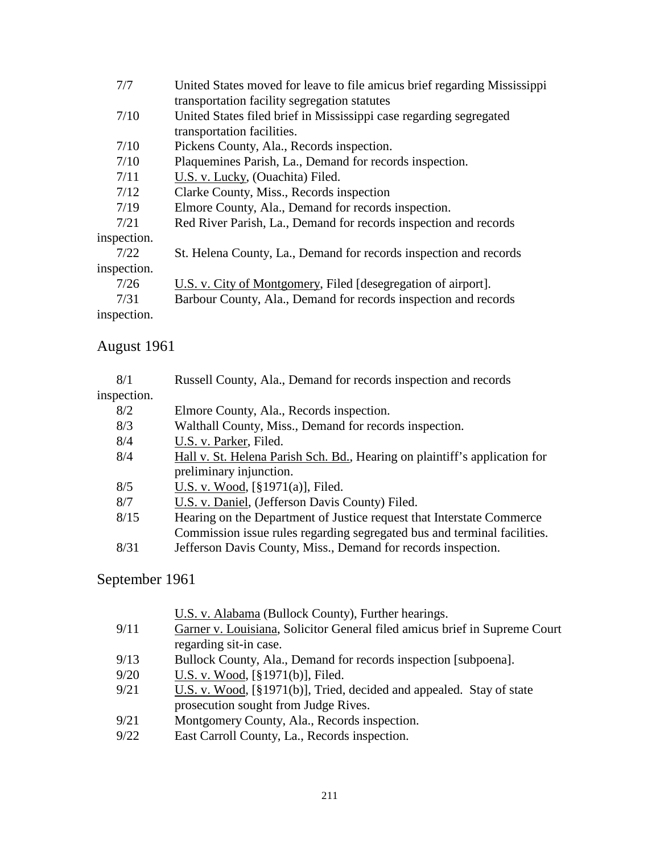| 7/7         | United States moved for leave to file amicus brief regarding Mississippi |
|-------------|--------------------------------------------------------------------------|
|             | transportation facility segregation statutes                             |
| 7/10        | United States filed brief in Mississippi case regarding segregated       |
|             | transportation facilities.                                               |
| 7/10        | Pickens County, Ala., Records inspection.                                |
| 7/10        | Plaquemines Parish, La., Demand for records inspection.                  |
| 7/11        | U.S. v. Lucky, (Ouachita) Filed.                                         |
| 7/12        | Clarke County, Miss., Records inspection                                 |
| 7/19        | Elmore County, Ala., Demand for records inspection.                      |
| 7/21        | Red River Parish, La., Demand for records inspection and records         |
| inspection. |                                                                          |
| 7/22        | St. Helena County, La., Demand for records inspection and records        |
| inspection. |                                                                          |
| 7/26        | U.S. v. City of Montgomery, Filed [desegregation of airport].            |
| 7/31        | Barbour County, Ala., Demand for records inspection and records          |
| inspection. |                                                                          |
|             |                                                                          |

# August 1961

| 8/1         | Russell County, Ala., Demand for records inspection and records            |
|-------------|----------------------------------------------------------------------------|
| inspection. |                                                                            |
| 8/2         | Elmore County, Ala., Records inspection.                                   |
| 8/3         | Walthall County, Miss., Demand for records inspection.                     |
| 8/4         | U.S. v. Parker, Filed.                                                     |
| 8/4         | Hall v. St. Helena Parish Sch. Bd., Hearing on plaintiff's application for |
|             | preliminary injunction.                                                    |
| 8/5         | U.S. v. Wood, $[\S 1971(a)]$ , Filed.                                      |
| 8/7         | U.S. v. Daniel, (Jefferson Davis County) Filed.                            |
| 8/15        | Hearing on the Department of Justice request that Interstate Commerce      |
|             | Commission issue rules regarding segregated bus and terminal facilities.   |
| 8/31        | Jefferson Davis County, Miss., Demand for records inspection.              |
|             |                                                                            |

# September 1961

|      | U.S. v. Alabama (Bullock County), Further hearings.                        |
|------|----------------------------------------------------------------------------|
| 9/11 | Garner v. Louisiana, Solicitor General filed amicus brief in Supreme Court |
|      | regarding sit-in case.                                                     |
| 9/13 | Bullock County, Ala., Demand for records inspection [subpoena].            |
| 9/20 | U.S. v. Wood, [§1971(b)], Filed.                                           |
| 9/21 | U.S. v. Wood, [§1971(b)], Tried, decided and appealed. Stay of state       |
|      | prosecution sought from Judge Rives.                                       |
| 9/21 | Montgomery County, Ala., Records inspection.                               |
| 9/22 | East Carroll County, La., Records inspection.                              |
|      |                                                                            |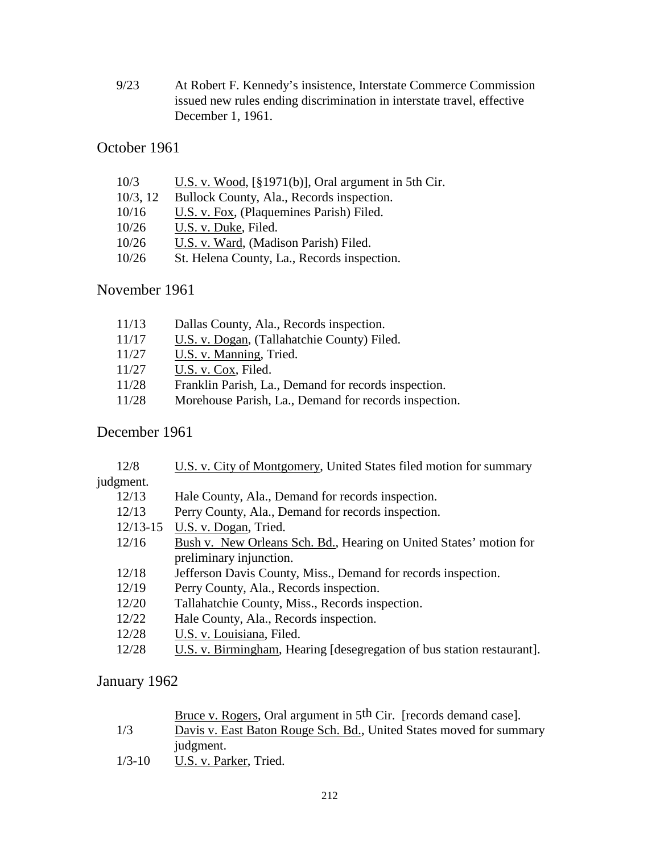9/23 At Robert F. Kennedy's insistence, Interstate Commerce Commission issued new rules ending discrimination in interstate travel, effective December 1, 1961.

## October 1961

| 10/3        | U.S. v. Wood, $\lceil \frac{8}{9} \rceil 971(b) \rceil$ , Oral argument in 5th Cir. |
|-------------|-------------------------------------------------------------------------------------|
| $10/3$ , 12 | Bullock County, Ala., Records inspection.                                           |
| 10/16       | U.S. v. Fox, (Plaquemines Parish) Filed.                                            |
| 10/26       | U.S. v. Duke, Filed.                                                                |
| 10/26       | U.S. v. Ward, (Madison Parish) Filed.                                               |
| 10/26       | St. Helena County, La., Records inspection.                                         |

## November 1961

| 11/13 | Dallas County, Ala., Records inspection.              |
|-------|-------------------------------------------------------|
| 11/17 | U.S. v. Dogan, (Tallahatchie County) Filed.           |
| 11/27 | U.S. v. Manning, Tried.                               |
| 11/27 | U.S. v. Cox, Filed.                                   |
| 11/28 | Franklin Parish, La., Demand for records inspection.  |
| 11/28 | Morehouse Parish, La., Demand for records inspection. |

## December 1961

| 12/8         | U.S. v. City of Montgomery, United States filed motion for summary     |  |  |
|--------------|------------------------------------------------------------------------|--|--|
| judgment.    |                                                                        |  |  |
| 12/13        | Hale County, Ala., Demand for records inspection.                      |  |  |
| 12/13        | Perry County, Ala., Demand for records inspection.                     |  |  |
| $12/13 - 15$ | U.S. v. Dogan, Tried.                                                  |  |  |
| 12/16        | Bush v. New Orleans Sch. Bd., Hearing on United States' motion for     |  |  |
|              | preliminary injunction.                                                |  |  |
| 12/18        | Jefferson Davis County, Miss., Demand for records inspection.          |  |  |
| 12/19        | Perry County, Ala., Records inspection.                                |  |  |
| 12/20        | Tallahatchie County, Miss., Records inspection.                        |  |  |
| 12/22        | Hale County, Ala., Records inspection.                                 |  |  |
| 12/28        | U.S. v. Louisiana, Filed.                                              |  |  |
| 12/28        | U.S. v. Birmingham, Hearing [desegregation of bus station restaurant]. |  |  |

## January 1962

Bruce v. Rogers, Oral argument in 5th Cir. [records demand case].

- 1/3 Davis v. East Baton Rouge Sch. Bd., United States moved for summary judgment.
- 1/3-10 U.S. v. Parker, Tried.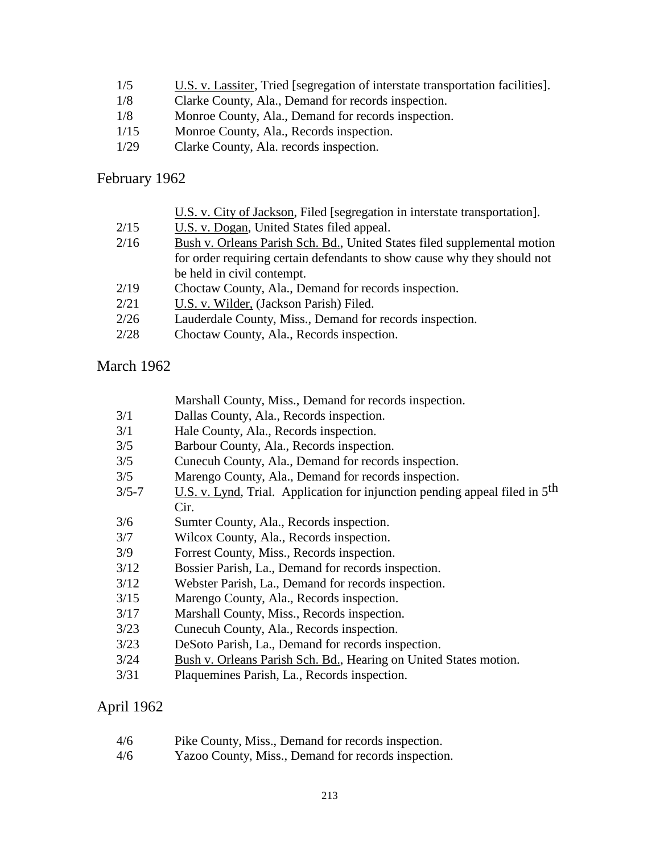- 1/5 U.S. v. Lassiter, Tried [segregation of interstate transportation facilities].
- 1/8 Clarke County, Ala., Demand for records inspection.
- 1/8 Monroe County, Ala., Demand for records inspection.
- 1/15 Monroe County, Ala., Records inspection.
- 1/29 Clarke County, Ala. records inspection.

### February 1962

|      | U.S. v. City of Jackson, Filed [segregation in interstate transportation]. |  |  |  |
|------|----------------------------------------------------------------------------|--|--|--|
| 2/15 | U.S. v. Dogan, United States filed appeal.                                 |  |  |  |
| 2/16 | Bush v. Orleans Parish Sch. Bd., United States filed supplemental motion   |  |  |  |
|      | for order requiring certain defendants to show cause why they should not   |  |  |  |
|      | be held in civil contempt.                                                 |  |  |  |
| 2/19 | Choctaw County, Ala., Demand for records inspection.                       |  |  |  |
| 2/21 | U.S. v. Wilder, (Jackson Parish) Filed.                                    |  |  |  |
| 2/26 | Lauderdale County, Miss., Demand for records inspection.                   |  |  |  |
| 2/28 | Choctaw County, Ala., Records inspection.                                  |  |  |  |
|      |                                                                            |  |  |  |

## March 1962

Marshall County, Miss., Demand for records inspection.

- 3/1 Dallas County, Ala., Records inspection.
- 3/1 Hale County, Ala., Records inspection.
- 3/5 Barbour County, Ala., Records inspection.
- 3/5 Cunecuh County, Ala., Demand for records inspection.
- 3/5 Marengo County, Ala., Demand for records inspection.
- $3/5$ -7 U.S. v. Lynd, Trial. Application for injunction pending appeal filed in  $5<sup>th</sup>$ Cir.
- 3/6 Sumter County, Ala., Records inspection.
- 3/7 Wilcox County, Ala., Records inspection.
- 3/9 Forrest County, Miss., Records inspection.
- 3/12 Bossier Parish, La., Demand for records inspection.
- 3/12 Webster Parish, La., Demand for records inspection.
- 3/15 Marengo County, Ala., Records inspection.
- 3/17 Marshall County, Miss., Records inspection.
- 3/23 Cunecuh County, Ala., Records inspection.
- 3/23 DeSoto Parish, La., Demand for records inspection.
- 3/24 Bush v. Orleans Parish Sch. Bd., Hearing on United States motion.
- 3/31 Plaquemines Parish, La., Records inspection.

## April 1962

- 4/6 Pike County, Miss., Demand for records inspection.
- 4/6 Yazoo County, Miss., Demand for records inspection.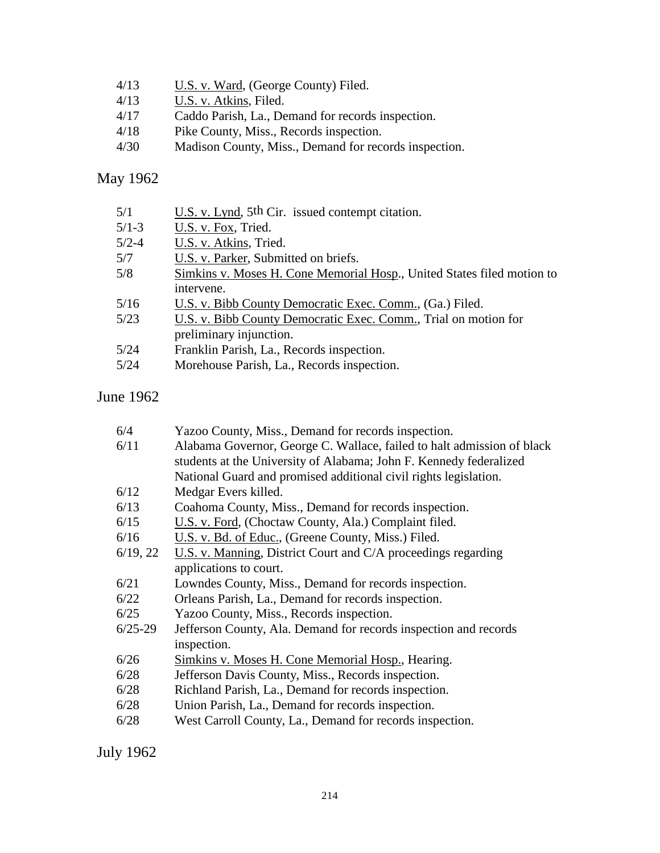- 4/13 U.S. v. Ward, (George County) Filed.
- 4/13 **U.S. v. Atkins, Filed.**
- 4/17 Caddo Parish, La., Demand for records inspection.<br>4/18 Pike County, Miss., Records inspection.
- 4/18 Pike County, Miss., Records inspection.<br>4/30 Madison County, Miss., Demand for reco
- Madison County, Miss., Demand for records inspection.

## May 1962

| Simkins v. Moses H. Cone Memorial Hosp., United States filed motion to |
|------------------------------------------------------------------------|
|                                                                        |
|                                                                        |
|                                                                        |
|                                                                        |
|                                                                        |
|                                                                        |
|                                                                        |

## June 1962

| 6/4       | Yazoo County, Miss., Demand for records inspection.                    |  |  |  |
|-----------|------------------------------------------------------------------------|--|--|--|
| 6/11      | Alabama Governor, George C. Wallace, failed to halt admission of black |  |  |  |
|           | students at the University of Alabama; John F. Kennedy federalized     |  |  |  |
|           | National Guard and promised additional civil rights legislation.       |  |  |  |
| 6/12      | Medgar Evers killed.                                                   |  |  |  |
| 6/13      | Coahoma County, Miss., Demand for records inspection.                  |  |  |  |
| 6/15      | U.S. v. Ford, (Choctaw County, Ala.) Complaint filed.                  |  |  |  |
| 6/16      | U.S. v. Bd. of Educ., (Greene County, Miss.) Filed.                    |  |  |  |
| 6/19, 22  | U.S. v. Manning, District Court and C/A proceedings regarding          |  |  |  |
|           | applications to court.                                                 |  |  |  |
| 6/21      | Lowndes County, Miss., Demand for records inspection.                  |  |  |  |
| 6/22      | Orleans Parish, La., Demand for records inspection.                    |  |  |  |
| 6/25      | Yazoo County, Miss., Records inspection.                               |  |  |  |
| $6/25-29$ | Jefferson County, Ala. Demand for records inspection and records       |  |  |  |
|           | inspection.                                                            |  |  |  |
| 6/26      | Simkins v. Moses H. Cone Memorial Hosp., Hearing.                      |  |  |  |
| 6/28      | Jefferson Davis County, Miss., Records inspection.                     |  |  |  |
| 6/28      | Richland Parish, La., Demand for records inspection.                   |  |  |  |
| 6/28      | Union Parish, La., Demand for records inspection.                      |  |  |  |
| 6/28      | West Carroll County, La., Demand for records inspection.               |  |  |  |
|           |                                                                        |  |  |  |

July 1962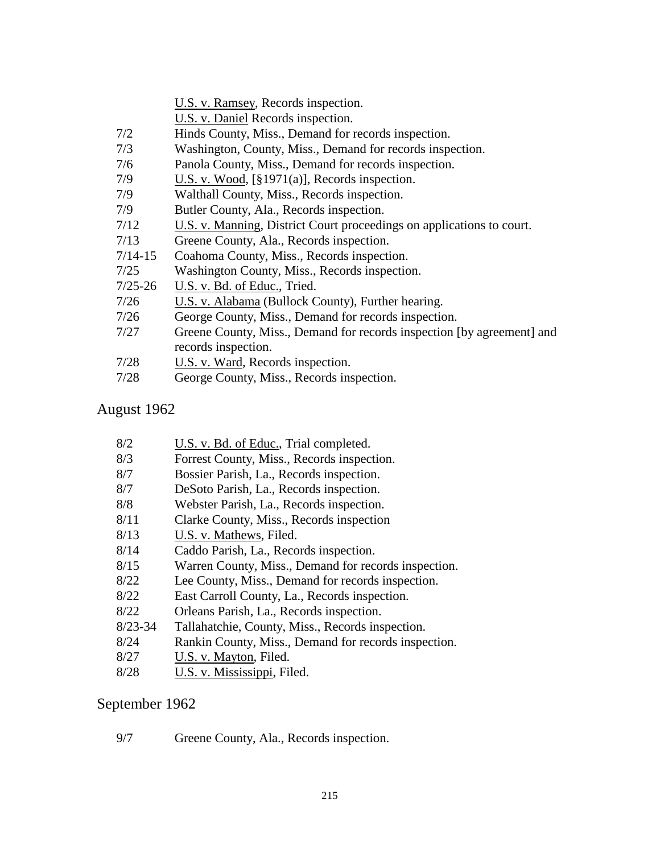- U.S. v. Daniel Records inspection.
- 7/2 Hinds County, Miss., Demand for records inspection.
- 7/3 Washington, County, Miss., Demand for records inspection.
- 7/6 Panola County, Miss., Demand for records inspection.
- 7/9 U.S. v. Wood, [§1971(a)], Records inspection.
- 7/9 Walthall County, Miss., Records inspection.
- 7/9 Butler County, Ala., Records inspection.
- 7/12 U.S. v. Manning, District Court proceedings on applications to court.
- 7/13 Greene County, Ala., Records inspection.
- 7/14-15 Coahoma County, Miss., Records inspection.
- 7/25 Washington County, Miss., Records inspection.
- 7/25-26 U.S. v. Bd. of Educ., Tried.
- 7/26 U.S. v. Alabama (Bullock County), Further hearing.
- 7/26 George County, Miss., Demand for records inspection.
- 7/27 Greene County, Miss., Demand for records inspection [by agreement] and records inspection.
- 7/28 U.S. v. Ward, Records inspection.
- 7/28 George County, Miss., Records inspection.

## August 1962

- 8/2 U.S. v. Bd. of Educ., Trial completed.
- 8/3 Forrest County, Miss., Records inspection.
- 8/7 Bossier Parish, La., Records inspection.
- 8/7 DeSoto Parish, La., Records inspection.
- 8/8 Webster Parish, La., Records inspection.
- 8/11 Clarke County, Miss., Records inspection
- 8/13 U.S. v. Mathews, Filed.
- 8/14 Caddo Parish, La., Records inspection.
- 8/15 Warren County, Miss., Demand for records inspection.
- 8/22 Lee County, Miss., Demand for records inspection.
- 8/22 East Carroll County, La., Records inspection.
- 8/22 Orleans Parish, La., Records inspection.
- 8/23-34 Tallahatchie, County, Miss., Records inspection.
- 8/24 Rankin County, Miss., Demand for records inspection.
- 8/27 U.S. v. Mayton, Filed.
- 8/28 U.S. v. Mississippi, Filed.

### September 1962

9/7 Greene County, Ala., Records inspection.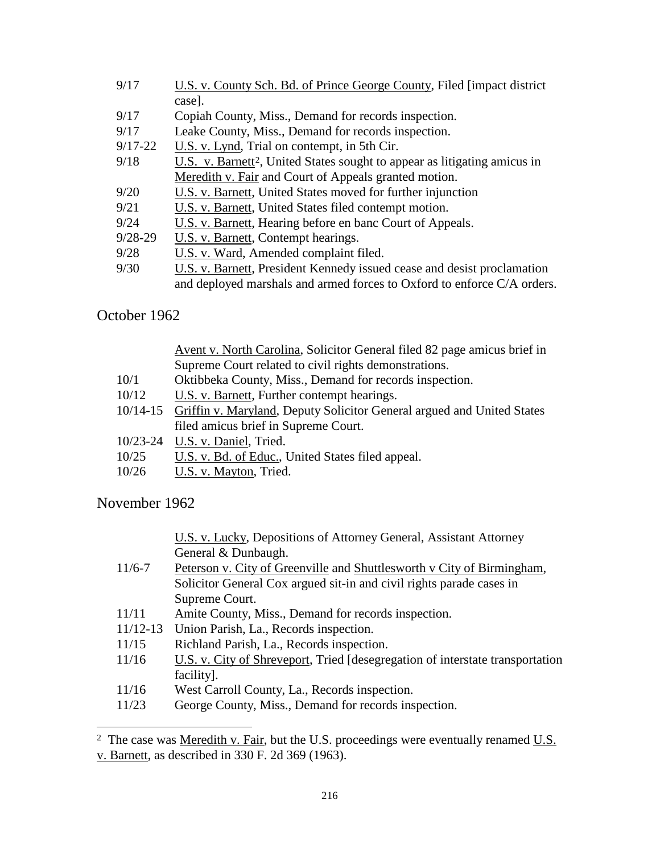| U.S. v. County Sch. Bd. of Prince George County, Filed [impact district]              |  |  |  |
|---------------------------------------------------------------------------------------|--|--|--|
| case].                                                                                |  |  |  |
| Copiah County, Miss., Demand for records inspection.                                  |  |  |  |
| Leake County, Miss., Demand for records inspection.                                   |  |  |  |
| U.S. v. Lynd, Trial on contempt, in 5th Cir.                                          |  |  |  |
| U.S. v. Barnett <sup>2</sup> , United States sought to appear as litigating amicus in |  |  |  |
| Meredith v. Fair and Court of Appeals granted motion.                                 |  |  |  |
| U.S. v. Barnett, United States moved for further injunction                           |  |  |  |
| U.S. v. Barnett, United States filed contempt motion.                                 |  |  |  |
| U.S. v. Barnett, Hearing before en banc Court of Appeals.                             |  |  |  |
| U.S. v. Barnett, Contempt hearings.                                                   |  |  |  |
| U.S. v. Ward, Amended complaint filed.                                                |  |  |  |
| U.S. v. Barnett, President Kennedy issued cease and desist proclamation               |  |  |  |
| and deployed marshals and armed forces to Oxford to enforce C/A orders.               |  |  |  |
|                                                                                       |  |  |  |

October 1962

|              | Avent v. North Carolina, Solicitor General filed 82 page amicus brief in        |  |
|--------------|---------------------------------------------------------------------------------|--|
|              | Supreme Court related to civil rights demonstrations.                           |  |
| 10/1         | Oktibbeka County, Miss., Demand for records inspection.                         |  |
| 10/12        | U.S. v. Barnett, Further contempt hearings.                                     |  |
|              | 10/14-15 Griffin v. Maryland, Deputy Solicitor General argued and United States |  |
|              | filed amicus brief in Supreme Court.                                            |  |
| $10/23 - 24$ | U.S. v. Daniel, Tried.                                                          |  |
| 10/25        | U.S. v. Bd. of Educ., United States filed appeal.                               |  |
| 10/26        | U.S. v. Mayton, Tried.                                                          |  |

November 1962

 $\overline{a}$ 

| U.S. v. Lucky, Depositions of Attorney General, Assistant Attorney |  |
|--------------------------------------------------------------------|--|
| General & Dunbaugh.                                                |  |

- 11/6-7 Peterson v. City of Greenville and Shuttlesworth v City of Birmingham, Solicitor General Cox argued sit-in and civil rights parade cases in Supreme Court.
- 11/11 Amite County, Miss., Demand for records inspection.
- 11/12-13 Union Parish, La., Records inspection.
- 11/15 Richland Parish, La., Records inspection.
- 11/16 U.S. v. City of Shreveport, Tried [desegregation of interstate transportation facility].
- 11/16 West Carroll County, La., Records inspection.
- 11/23 George County, Miss., Demand for records inspection.

<span id="page-7-0"></span><sup>2</sup> The case was <u>Meredith v. Fair</u>, but the U.S. proceedings were eventually renamed U.S. v. Barnett, as described in 330 F. 2d 369 (1963).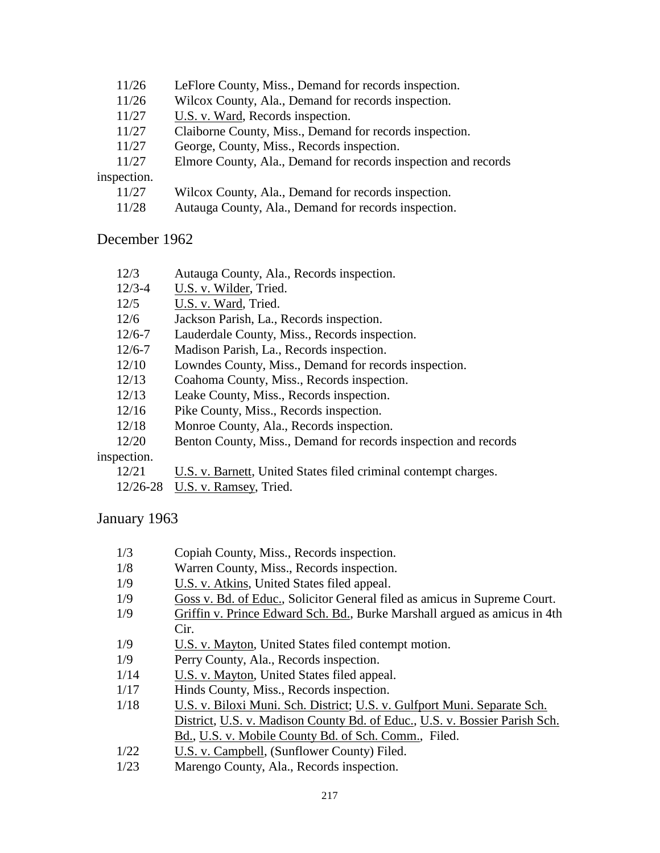- 11/26 LeFlore County, Miss., Demand for records inspection.
- 11/26 Wilcox County, Ala., Demand for records inspection.
- 11/27 U.S. v. Ward, Records inspection.
- 11/27 Claiborne County, Miss., Demand for records inspection.
- 11/27 George, County, Miss., Records inspection.
- 11/27 Elmore County, Ala., Demand for records inspection and records

inspection.

- 11/27 Wilcox County, Ala., Demand for records inspection.
- 11/28 Autauga County, Ala., Demand for records inspection.

#### December 1962

- 12/3 Autauga County, Ala., Records inspection.
- 12/3-4 U.S. v. Wilder, Tried.
- 12/5 U.S. v. Ward, Tried.
- 12/6 Jackson Parish, La., Records inspection.
- 12/6-7 Lauderdale County, Miss., Records inspection.
- 12/6-7 Madison Parish, La., Records inspection.
- 12/10 Lowndes County, Miss., Demand for records inspection.
- 12/13 Coahoma County, Miss., Records inspection.
- 12/13 Leake County, Miss., Records inspection.
- 12/16 Pike County, Miss., Records inspection.
- 12/18 Monroe County, Ala., Records inspection.
- 12/20 Benton County, Miss., Demand for records inspection and records

#### inspection.

- 12/21 U.S. v. Barnett, United States filed criminal contempt charges.
- 12/26-28 U.S. v. Ramsey, Tried.

### January 1963

- 1/3 Copiah County, Miss., Records inspection.
- 1/8 Warren County, Miss., Records inspection.
- 1/9 U.S. v. Atkins, United States filed appeal.
- 1/9 Goss v. Bd. of Educ., Solicitor General filed as amicus in Supreme Court.
- 1/9 Griffin v. Prince Edward Sch. Bd., Burke Marshall argued as amicus in 4th Cir.
- 1/9 U.S. v. Mayton, United States filed contempt motion.
- 1/9 Perry County, Ala., Records inspection.
- 1/14 U.S. v. Mayton, United States filed appeal.
- 1/17 Hinds County, Miss., Records inspection.
- 1/18 U.S. v. Biloxi Muni. Sch. District; U.S. v. Gulfport Muni. Separate Sch. District, U.S. v. Madison County Bd. of Educ., U.S. v. Bossier Parish Sch. Bd., U.S. v. Mobile County Bd. of Sch. Comm., Filed.
- 1/22 U.S. v. Campbell, (Sunflower County) Filed.
- 1/23 Marengo County, Ala., Records inspection.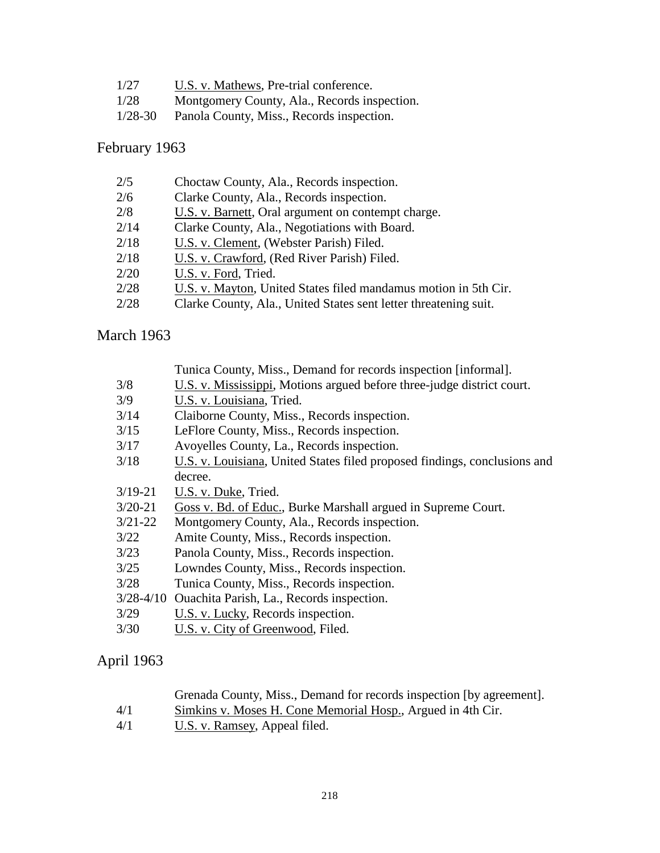| 1/27 | U.S. v. Mathews, Pre-trial conference.       |
|------|----------------------------------------------|
| 1/28 | Montgomery County, Ala., Records inspection. |

1/28-30 Panola County, Miss., Records inspection.

## February 1963

| 2/5  | Choctaw County, Ala., Records inspection.                        |
|------|------------------------------------------------------------------|
| 2/6  | Clarke County, Ala., Records inspection.                         |
| 2/8  | U.S. v. Barnett, Oral argument on contempt charge.               |
| 2/14 | Clarke County, Ala., Negotiations with Board.                    |
| 2/18 | U.S. v. Clement, (Webster Parish) Filed.                         |
| 2/18 | U.S. v. Crawford, (Red River Parish) Filed.                      |
| 2/20 | U.S. v. Ford, Tried.                                             |
| 2/28 | U.S. v. Mayton, United States filed mandamus motion in 5th Cir.  |
| 2/28 | Clarke County, Ala., United States sent letter threatening suit. |

# March 1963

|             | Tunica County, Miss., Demand for records inspection [informal].           |  |  |
|-------------|---------------------------------------------------------------------------|--|--|
| 3/8         | U.S. v. Mississippi, Motions argued before three-judge district court.    |  |  |
| 3/9         | U.S. v. Louisiana, Tried.                                                 |  |  |
| 3/14        | Claiborne County, Miss., Records inspection.                              |  |  |
| 3/15        | LeFlore County, Miss., Records inspection.                                |  |  |
| 3/17        | Avoyelles County, La., Records inspection.                                |  |  |
| 3/18        | U.S. v. Louisiana, United States filed proposed findings, conclusions and |  |  |
|             | decree.                                                                   |  |  |
| $3/19 - 21$ | U.S. v. Duke, Tried.                                                      |  |  |
| $3/20 - 21$ | Goss v. Bd. of Educ., Burke Marshall argued in Supreme Court.             |  |  |
| $3/21 - 22$ | Montgomery County, Ala., Records inspection.                              |  |  |
| 3/22        | Amite County, Miss., Records inspection.                                  |  |  |
| 3/23        | Panola County, Miss., Records inspection.                                 |  |  |
| 3/25        | Lowndes County, Miss., Records inspection.                                |  |  |
| 3/28        | Tunica County, Miss., Records inspection.                                 |  |  |
| 3/28-4/10   | Quachita Parish, La., Records inspection.                                 |  |  |
| 3/29        | U.S. v. Lucky, Records inspection.                                        |  |  |
|             |                                                                           |  |  |

3/30 U.S. v. City of Greenwood, Filed.

## April 1963

| Grenada County, Miss., Demand for records inspection [by agreement]. |  |  |  |
|----------------------------------------------------------------------|--|--|--|
|----------------------------------------------------------------------|--|--|--|

- 4/1 Simkins v. Moses H. Cone Memorial Hosp., Argued in 4th Cir.<br>4/1 U.S. v. Ramsey, Appeal filed.
- U.S. v. Ramsey, Appeal filed.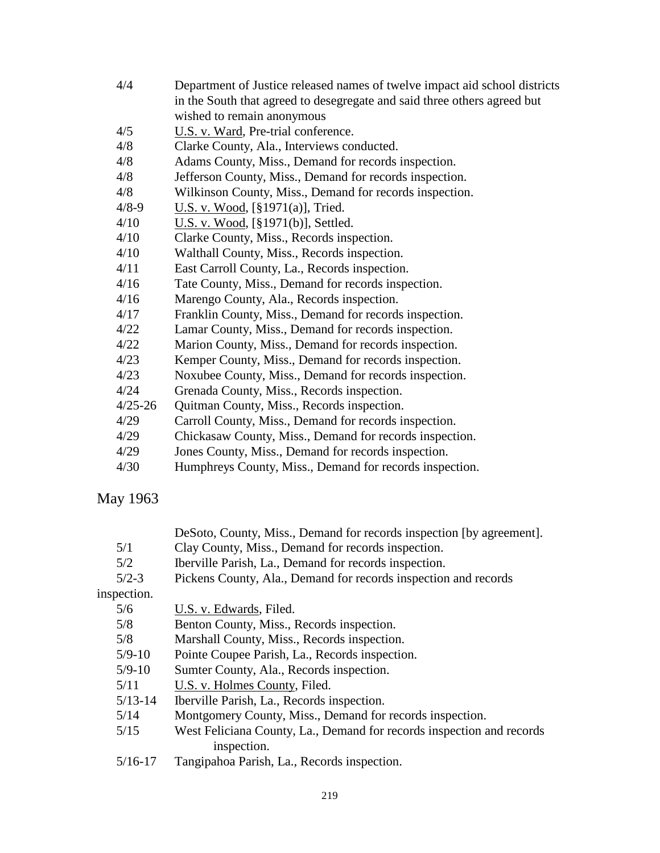| 4/4         | Department of Justice released names of twelve impact aid school districts |
|-------------|----------------------------------------------------------------------------|
|             | in the South that agreed to desegregate and said three others agreed but   |
|             | wished to remain anonymous                                                 |
| 4/5         | U.S. v. Ward, Pre-trial conference.                                        |
| 4/8         | Clarke County, Ala., Interviews conducted.                                 |
| 4/8         | Adams County, Miss., Demand for records inspection.                        |
| 4/8         | Jefferson County, Miss., Demand for records inspection.                    |
| 4/8         | Wilkinson County, Miss., Demand for records inspection.                    |
| $4/8 - 9$   | U.S. v. Wood, [§1971(a)], Tried.                                           |
| 4/10        | U.S. v. Wood, [§1971(b)], Settled.                                         |
| 4/10        | Clarke County, Miss., Records inspection.                                  |
| 4/10        | Walthall County, Miss., Records inspection.                                |
| 4/11        | East Carroll County, La., Records inspection.                              |
| 4/16        | Tate County, Miss., Demand for records inspection.                         |
| 4/16        | Marengo County, Ala., Records inspection.                                  |
| 4/17        | Franklin County, Miss., Demand for records inspection.                     |
| 4/22        | Lamar County, Miss., Demand for records inspection.                        |
| 4/22        | Marion County, Miss., Demand for records inspection.                       |
| 4/23        | Kemper County, Miss., Demand for records inspection.                       |
| 4/23        | Noxubee County, Miss., Demand for records inspection.                      |
| 4/24        | Grenada County, Miss., Records inspection.                                 |
| $4/25 - 26$ | Quitman County, Miss., Records inspection.                                 |
| 4/29        | Carroll County, Miss., Demand for records inspection.                      |
| 4/29        | Chickasaw County, Miss., Demand for records inspection.                    |
| 4/29        | Jones County, Miss., Demand for records inspection.                        |
| 4/30        | Humphreys County, Miss., Demand for records inspection.                    |

## May 1963

|  | DeSoto, County, Miss., Demand for records inspection [by agreement]. |  |  |  |  |  |
|--|----------------------------------------------------------------------|--|--|--|--|--|
|--|----------------------------------------------------------------------|--|--|--|--|--|

- 5/1 Clay County, Miss., Demand for records inspection.<br>5/2 Iberville Parish, La., Demand for records inspection.
- 5/2 Iberville Parish, La., Demand for records inspection.<br>5/2-3 Pickens County, Ala., Demand for records inspection.
- Pickens County, Ala., Demand for records inspection and records

## inspection.

| 5/6         | U.S. v. Edwards, Filed.                                               |
|-------------|-----------------------------------------------------------------------|
| 5/8         | Benton County, Miss., Records inspection.                             |
| 5/8         | Marshall County, Miss., Records inspection.                           |
| $5/9 - 10$  | Pointe Coupee Parish, La., Records inspection.                        |
| $5/9 - 10$  | Sumter County, Ala., Records inspection.                              |
| 5/11        | U.S. v. Holmes County, Filed.                                         |
| $5/13 - 14$ | Iberville Parish, La., Records inspection.                            |
| 5/14        | Montgomery County, Miss., Demand for records inspection.              |
| 5/15        | West Feliciana County, La., Demand for records inspection and records |
|             | inspection.                                                           |
| $5/16 - 17$ | Tangipahoa Parish, La., Records inspection.                           |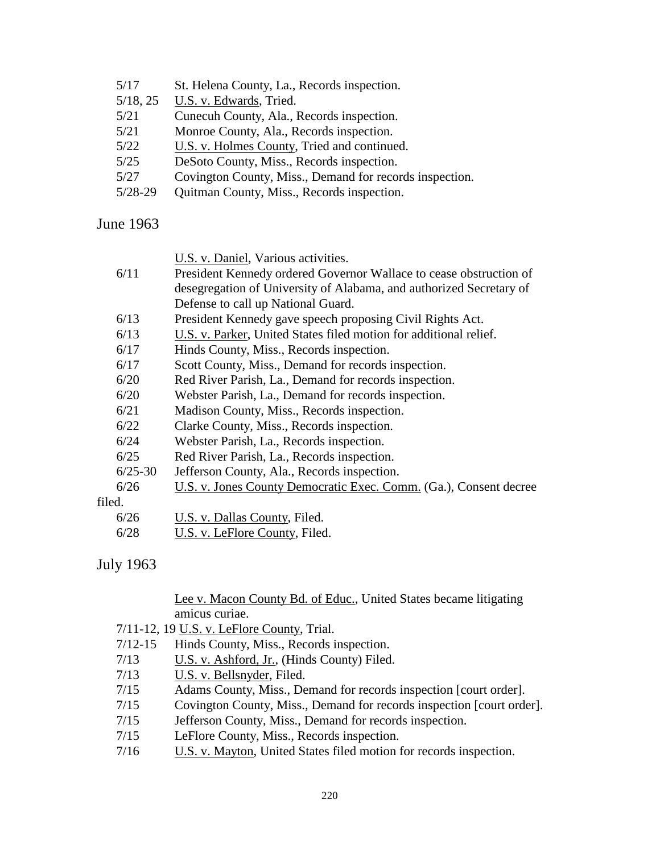| 5/17      | St. Helena County, La., Records inspection.             |
|-----------|---------------------------------------------------------|
| 5/18, 25  | U.S. v. Edwards, Tried.                                 |
| 5/21      | Cunecuh County, Ala., Records inspection.               |
| 5/21      | Monroe County, Ala., Records inspection.                |
| 5/22      | U.S. v. Holmes County, Tried and continued.             |
| 5/25      | DeSoto County, Miss., Records inspection.               |
| 5/27      | Covington County, Miss., Demand for records inspection. |
| $5/28-29$ | Quitman County, Miss., Records inspection.              |
|           |                                                         |

June 1963

U.S. v. Daniel, Various activities.

| 6/11 | President Kennedy ordered Governor Wallace to cease obstruction of  |
|------|---------------------------------------------------------------------|
|      | desegregation of University of Alabama, and authorized Secretary of |
|      | Defense to call up National Guard.                                  |

- 6/13 President Kennedy gave speech proposing Civil Rights Act.
- 6/13 U.S. v. Parker, United States filed motion for additional relief.
- 6/17 Hinds County, Miss., Records inspection.
- 6/17 Scott County, Miss., Demand for records inspection.
- 6/20 Red River Parish, La., Demand for records inspection.
- 6/20 Webster Parish, La., Demand for records inspection.
- 6/21 Madison County, Miss., Records inspection.
- 6/22 Clarke County, Miss., Records inspection.
- 6/24 Webster Parish, La., Records inspection.
- 6/25 Red River Parish, La., Records inspection.
- 6/25-30 Jefferson County, Ala., Records inspection.
- 6/26 U.S. v. Jones County Democratic Exec. Comm. (Ga.), Consent decree

filed.

6/28 U.S. v. LeFlore County, Filed.

## July 1963

#### Lee v. Macon County Bd. of Educ., United States became litigating amicus curiae.

- 7/11-12, 19 U.S. v. LeFlore County, Trial.
- 7/12-15 Hinds County, Miss., Records inspection.
- 7/13 U.S. v. Ashford, Jr., (Hinds County) Filed.
- 7/13 U.S. v. Bellsnyder, Filed.
- 7/15 Adams County, Miss., Demand for records inspection [court order].
- 7/15 Covington County, Miss., Demand for records inspection [court order].
- 7/15 Jefferson County, Miss., Demand for records inspection.
- 7/15 LeFlore County, Miss., Records inspection.
- 7/16 U.S. v. Mayton, United States filed motion for records inspection.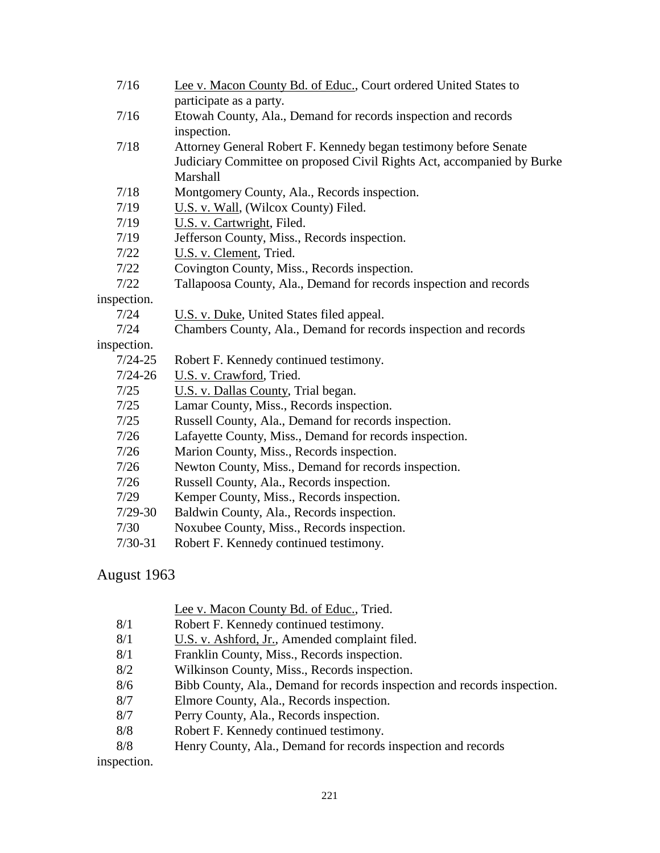| 7/16        | Lee v. Macon County Bd. of Educ., Court ordered United States to       |
|-------------|------------------------------------------------------------------------|
|             | participate as a party.                                                |
| 7/16        | Etowah County, Ala., Demand for records inspection and records         |
|             | inspection.                                                            |
| 7/18        | Attorney General Robert F. Kennedy began testimony before Senate       |
|             | Judiciary Committee on proposed Civil Rights Act, accompanied by Burke |
|             | Marshall                                                               |
| 7/18        | Montgomery County, Ala., Records inspection.                           |
| 7/19        | U.S. v. Wall, (Wilcox County) Filed.                                   |
| 7/19        | U.S. v. Cartwright, Filed.                                             |
| 7/19        | Jefferson County, Miss., Records inspection.                           |
| 7/22        | U.S. v. Clement, Tried.                                                |
| 7/22        | Covington County, Miss., Records inspection.                           |
| 7/22        | Tallapoosa County, Ala., Demand for records inspection and records     |
| inspection. |                                                                        |
| 7/24        | U.S. v. Duke, United States filed appeal.                              |
| 7/24        | Chambers County, Ala., Demand for records inspection and records       |
| inspection. |                                                                        |
| $7/24 - 25$ | Robert F. Kennedy continued testimony.                                 |
| $7/24 - 26$ | U.S. v. Crawford, Tried.                                               |
| 7/25        | U.S. v. Dallas County, Trial began.                                    |
| 7/25        | Lamar County, Miss., Records inspection.                               |
| 7/25        | Russell County, Ala., Demand for records inspection.                   |
| 7/26        | Lafayette County, Miss., Demand for records inspection.                |
| 7/26        | Marion County, Miss., Records inspection.                              |
| 7/26        | Newton County, Miss., Demand for records inspection.                   |
| 7/26        | Russell County, Ala., Records inspection.                              |
| 7/29        | Kemper County, Miss., Records inspection.                              |
| $7/29-30$   | Baldwin County, Ala., Records inspection.                              |
| 7/30        | Noxubee County, Miss., Records inspection.                             |
| $7/30 - 31$ | Robert F. Kennedy continued testimony.                                 |

# August 1963

|     | Lee v. Macon County Bd. of Educ., Tried.                                 |
|-----|--------------------------------------------------------------------------|
| 8/1 | Robert F. Kennedy continued testimony.                                   |
| 8/1 | U.S. v. Ashford, Jr., Amended complaint filed.                           |
| 8/1 | Franklin County, Miss., Records inspection.                              |
| 8/2 | Wilkinson County, Miss., Records inspection.                             |
| 8/6 | Bibb County, Ala., Demand for records inspection and records inspection. |
| 8/7 | Elmore County, Ala., Records inspection.                                 |
| 8/7 | Perry County, Ala., Records inspection.                                  |
| 8/8 | Robert F. Kennedy continued testimony.                                   |
| 8/8 | Henry County, Ala., Demand for records inspection and records            |
|     |                                                                          |

inspection.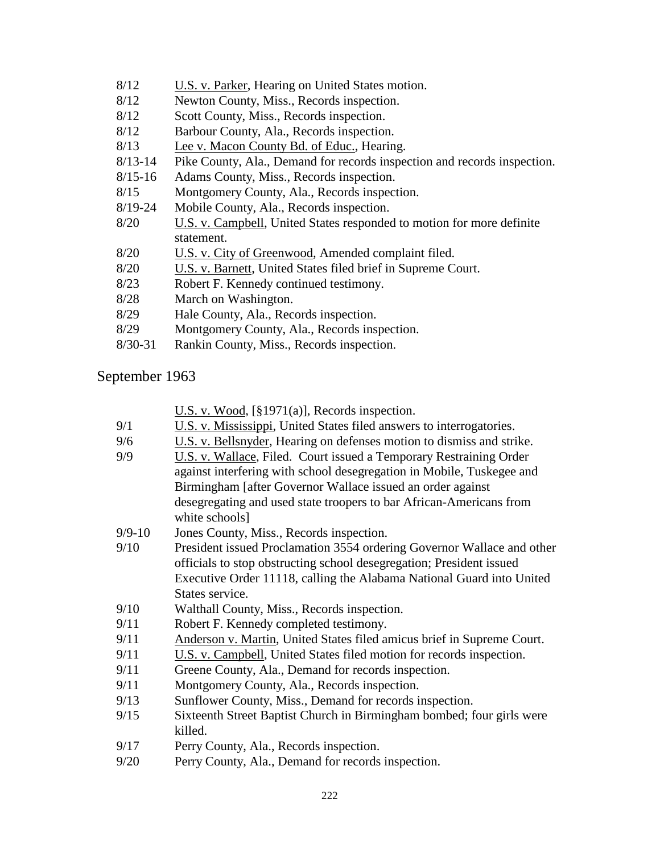- 8/12 U.S. v. Parker, Hearing on United States motion.
- 8/12 Newton County, Miss., Records inspection.
- 8/12 Scott County, Miss., Records inspection.
- 8/12 Barbour County, Ala., Records inspection.
- 8/13 Lee v. Macon County Bd. of Educ., Hearing.
- 8/13-14 Pike County, Ala., Demand for records inspection and records inspection.
- 8/15-16 Adams County, Miss., Records inspection.
- 8/15 Montgomery County, Ala., Records inspection.
- 8/19-24 Mobile County, Ala., Records inspection.
- 8/20 U.S. v. Campbell, United States responded to motion for more definite statement.
- 8/20 U.S. v. City of Greenwood, Amended complaint filed.
- 8/20 U.S. v. Barnett, United States filed brief in Supreme Court.
- 8/23 Robert F. Kennedy continued testimony.
- 8/28 March on Washington.
- 8/29 Hale County, Ala., Records inspection.
- 8/29 Montgomery County, Ala., Records inspection.
- 8/30-31 Rankin County, Miss., Records inspection.

## September 1963

U.S. v. Wood, [§1971(a)], Records inspection.

- 9/1 U.S. v. Mississippi, United States filed answers to interrogatories.
- 9/6 U.S. v. Bellsnyder, Hearing on defenses motion to dismiss and strike.
- 9/9 U.S. v. Wallace, Filed. Court issued a Temporary Restraining Order against interfering with school desegregation in Mobile, Tuskegee and Birmingham [after Governor Wallace issued an order against desegregating and used state troopers to bar African-Americans from white schools<sup>1</sup>
- 9/9-10 Jones County, Miss., Records inspection.
- 9/10 President issued Proclamation 3554 ordering Governor Wallace and other officials to stop obstructing school desegregation; President issued Executive Order 11118, calling the Alabama National Guard into United States service.
- 9/10 Walthall County, Miss., Records inspection.
- 9/11 Robert F. Kennedy completed testimony.
- 9/11 Anderson v. Martin, United States filed amicus brief in Supreme Court.
- 9/11 U.S. v. Campbell, United States filed motion for records inspection.
- 9/11 Greene County, Ala., Demand for records inspection.
- 9/11 Montgomery County, Ala., Records inspection.
- 9/13 Sunflower County, Miss., Demand for records inspection.
- 9/15 Sixteenth Street Baptist Church in Birmingham bombed; four girls were killed.
- 9/17 Perry County, Ala., Records inspection.
- 9/20 Perry County, Ala., Demand for records inspection.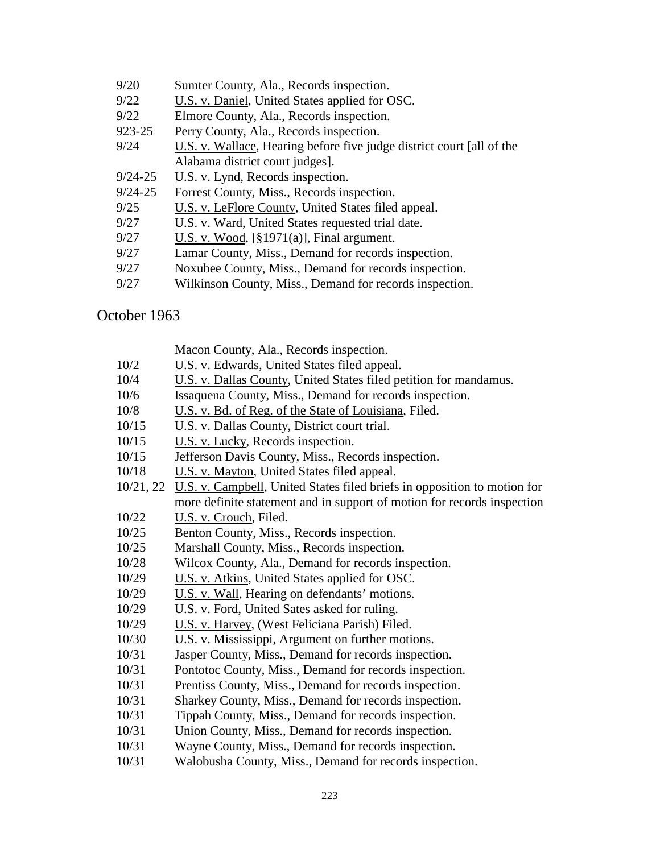- 9/20 Sumter County, Ala., Records inspection.
- 9/22 U.S. v. Daniel, United States applied for OSC.
- 9/22 Elmore County, Ala., Records inspection.
- 923-25 Perry County, Ala., Records inspection.
- 9/24 U.S. v. Wallace, Hearing before five judge district court [all of the Alabama district court judges].
- 9/24-25 U.S. v. Lynd, Records inspection.
- 9/24-25 Forrest County, Miss., Records inspection.
- 9/25 U.S. v. LeFlore County, United States filed appeal.
- 9/27 U.S. v. Ward, United States requested trial date.
- 9/27 U.S. v. Wood, [§1971(a)], Final argument.
- 9/27 Lamar County, Miss., Demand for records inspection.
- 9/27 Noxubee County, Miss., Demand for records inspection.
- 9/27 Wilkinson County, Miss., Demand for records inspection.

## October 1963

- 10/2 U.S. v. Edwards, United States filed appeal.
- 10/4 U.S. v. Dallas County, United States filed petition for mandamus.
- 10/6 Issaquena County, Miss., Demand for records inspection.
- 10/8 U.S. v. Bd. of Reg. of the State of Louisiana, Filed.
- 10/15 U.S. v. Dallas County, District court trial.
- 10/15 U.S. v. Lucky, Records inspection.
- 10/15 Jefferson Davis County, Miss., Records inspection.
- 10/18 U.S. v. Mayton, United States filed appeal.
- 10/21, 22 U.S. v. Campbell, United States filed briefs in opposition to motion for more definite statement and in support of motion for records inspection
- 10/22 U.S. v. Crouch, Filed.
- 10/25 Benton County, Miss., Records inspection.
- 10/25 Marshall County, Miss., Records inspection.
- 10/28 Wilcox County, Ala., Demand for records inspection.
- 10/29 U.S. v. Atkins, United States applied for OSC.
- 10/29 U.S. v. Wall, Hearing on defendants' motions.
- 10/29 U.S. v. Ford, United Sates asked for ruling.
- 10/29 U.S. v. Harvey, (West Feliciana Parish) Filed.
- 10/30 U.S. v. Mississippi, Argument on further motions.
- 10/31 Jasper County, Miss., Demand for records inspection.
- 10/31 Pontotoc County, Miss., Demand for records inspection.
- 10/31 Prentiss County, Miss., Demand for records inspection.
- 10/31 Sharkey County, Miss., Demand for records inspection.
- 10/31 Tippah County, Miss., Demand for records inspection.
- 10/31 Union County, Miss., Demand for records inspection.
- 10/31 Wayne County, Miss., Demand for records inspection.
- 10/31 Walobusha County, Miss., Demand for records inspection.